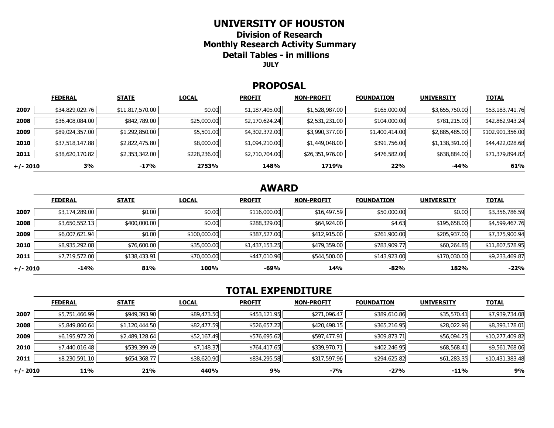### **UNIVERSITY OF HOUSTON**

**Division of Research Monthly Research Activity Summary Detail Tables - in millions JULY** 

#### **PROPOSAL**

|            | <b>FEDERAL</b>  | <b>STATE</b>    | <b>LOCAL</b> | <b>PROFIT</b>  | <b>NON-PROFIT</b> | <b>FOUNDATION</b> | <b>UNIVERSITY</b> | <b>TOTAL</b>     |
|------------|-----------------|-----------------|--------------|----------------|-------------------|-------------------|-------------------|------------------|
| 2007       | \$34,829,029.76 | \$11,817,570.00 | \$0.00       | \$1,187,405.00 | \$1,528,987.00    | \$165,000.00      | \$3,655,750.00    | \$53,183,741.76  |
| 2008       | \$36,408,084.00 | \$842,789.00    | \$25,000.00  | \$2,170,624.24 | \$2,531,231.00    | \$104,000.00      | \$781,215.00      | \$42,862,943.24  |
| 2009       | \$89,024,357.00 | \$1,292,850.00  | \$5,501.00   | \$4,302,372.00 | \$3,990,377.00    | \$1,400,414.00    | \$2,885,485.00    | \$102,901,356.00 |
| 2010       | \$37,518,147.88 | \$2,822,475.80  | \$8,000.00   | \$1,094,210.00 | \$1,449,048.00    | \$391,756.00      | \$1,138,391.00    | \$44,422,028.68  |
| 2011       | \$38,620,170.82 | \$2,353,342.00  | \$228,236.00 | \$2,710,704.00 | \$26,351,976.00   | \$476,582.00      | \$638,884.00      | \$71,379,894.82  |
| $+/- 2010$ | 3%              | -17%            | 2753%        | 148%           | 1719%             | 22%               | $-44%$            | 61%              |

# **AWARD**

|          | <b>FEDERAL</b> | <b>STATE</b> | <b>LOCAL</b> | <b>PROFIT</b>  | <b>NON-PROFIT</b> | <b>FOUNDATION</b> | <b>UNIVERSITY</b> | <b>TOTAL</b>    |
|----------|----------------|--------------|--------------|----------------|-------------------|-------------------|-------------------|-----------------|
| 2007     | \$3,174,289.00 | \$0.00       | \$0.00       | \$116,000.00   | \$16,497.59       | \$50,000.00       | \$0.00            | \$3,356,786.59  |
| 2008     | \$3,650,552.13 | \$400,000.00 | \$0.00       | \$288,329.00   | \$64,924.00       | \$4.63            | \$195,658.00      | \$4,599,467.76  |
| 2009     | \$6,007,621.94 | \$0.00       | \$100,000.00 | \$387,527.00   | \$412,915.00      | \$261,900.00      | \$205,937.00      | \$7,375,900.94  |
| 2010     | \$8,935,292.08 | \$76,600.00  | \$35,000.00  | \$1,437,153.25 | \$479,359.00      | \$783,909.77      | \$60,264.85       | \$11,807,578.95 |
| 2011     | \$7,719,572.00 | \$138,433.91 | \$70,000.00  | \$447,010.96   | \$544,500.00      | \$143,923.00      | \$170,030.00      | \$9,233,469.87  |
| +/- 2010 | $-14%$         | 81%          | 100%         | -69%           | 14%               | $-82%$            | 182%              | $-22%$          |

# **TOTAL EXPENDITURE**

|          | <b>FEDERAL</b> | <b>STATE</b>   | <b>LOCAL</b> | <b>PROFIT</b> | <b>NON-PROFIT</b> | <b>FOUNDATION</b> | <b>UNIVERSITY</b> | <b>TOTAL</b>    |
|----------|----------------|----------------|--------------|---------------|-------------------|-------------------|-------------------|-----------------|
| 2007     | \$5,751,466.99 | \$949,393.90   | \$89,473.50  | \$453,121.95  | \$271,096.47      | \$389,610.86      | \$35,570.41       | \$7,939,734.08  |
| 2008     | \$5,849,860.64 | \$1,120,444.50 | \$82,477.59  | \$526,657.22  | \$420,498.15      | \$365,216.95      | \$28,022.96       | \$8,393,178.01  |
| 2009     | \$6,195,972.20 | \$2,489,128.64 | \$52,167.49  | \$576,695.62  | \$597,477.91      | \$309,873.71      | \$56,094.25       | \$10,277,409.82 |
| 2010     | \$7,440,016.48 | \$539,399.49   | \$7,148.37   | \$764,417.65  | \$339,970.71      | \$402,246.95      | \$68,568.41       | \$9,561,768.06  |
| 2011     | \$8,230,591.10 | \$654,368.77   | \$38,620.90  | \$834,295.58  | \$317,597.96      | \$294,625.82      | \$61,283.35       | \$10,431,383.48 |
| +/- 2010 | 11%            | 21%            | 440%         | 9%            | $-7%$             | $-27%$            | -11%              | 9%              |